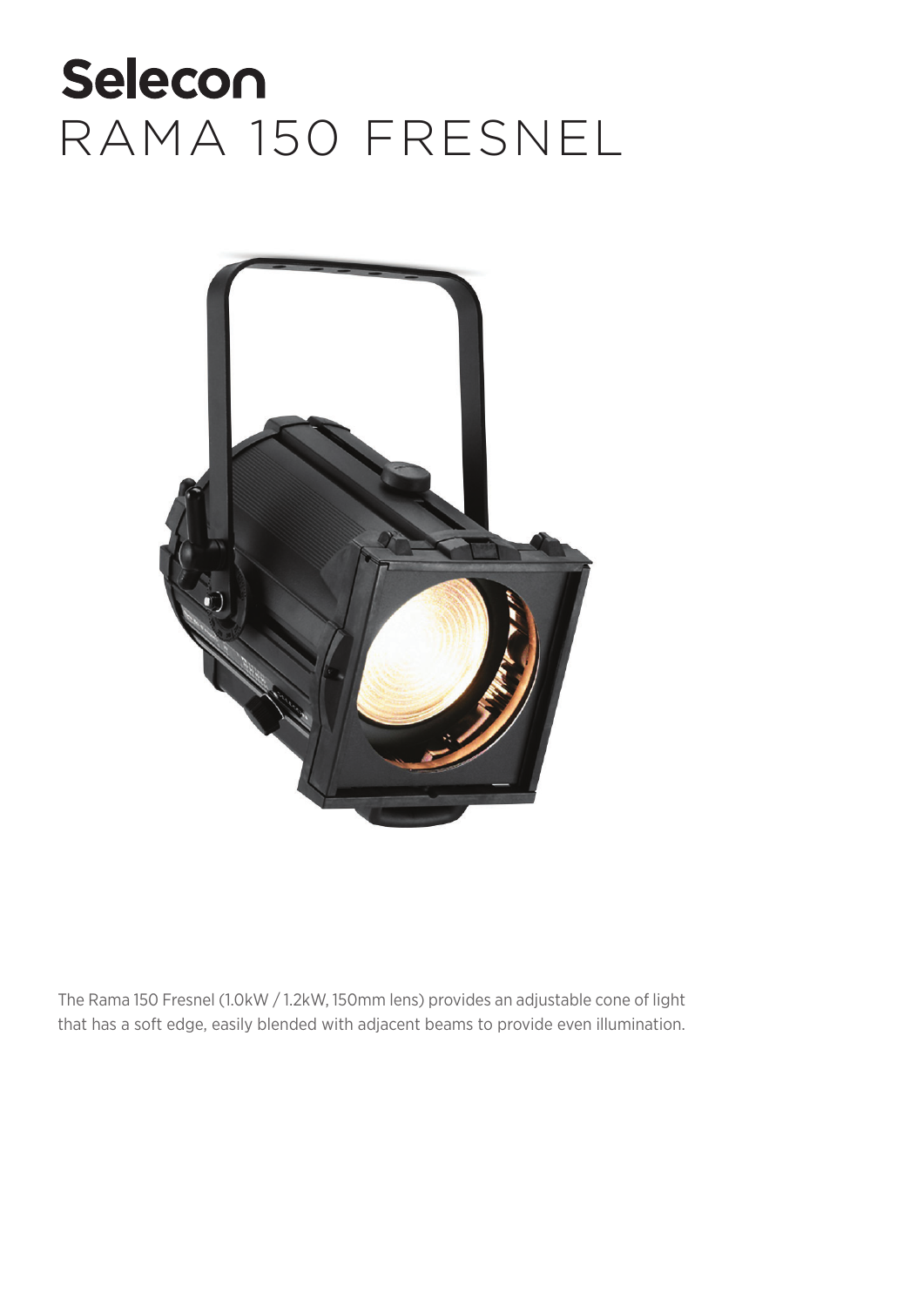

The Rama 150 Fresnel (1.0kW / 1.2kW, 150mm lens) provides an adjustable cone of light that has a soft edge, easily blended with adjacent beams to provide even illumination.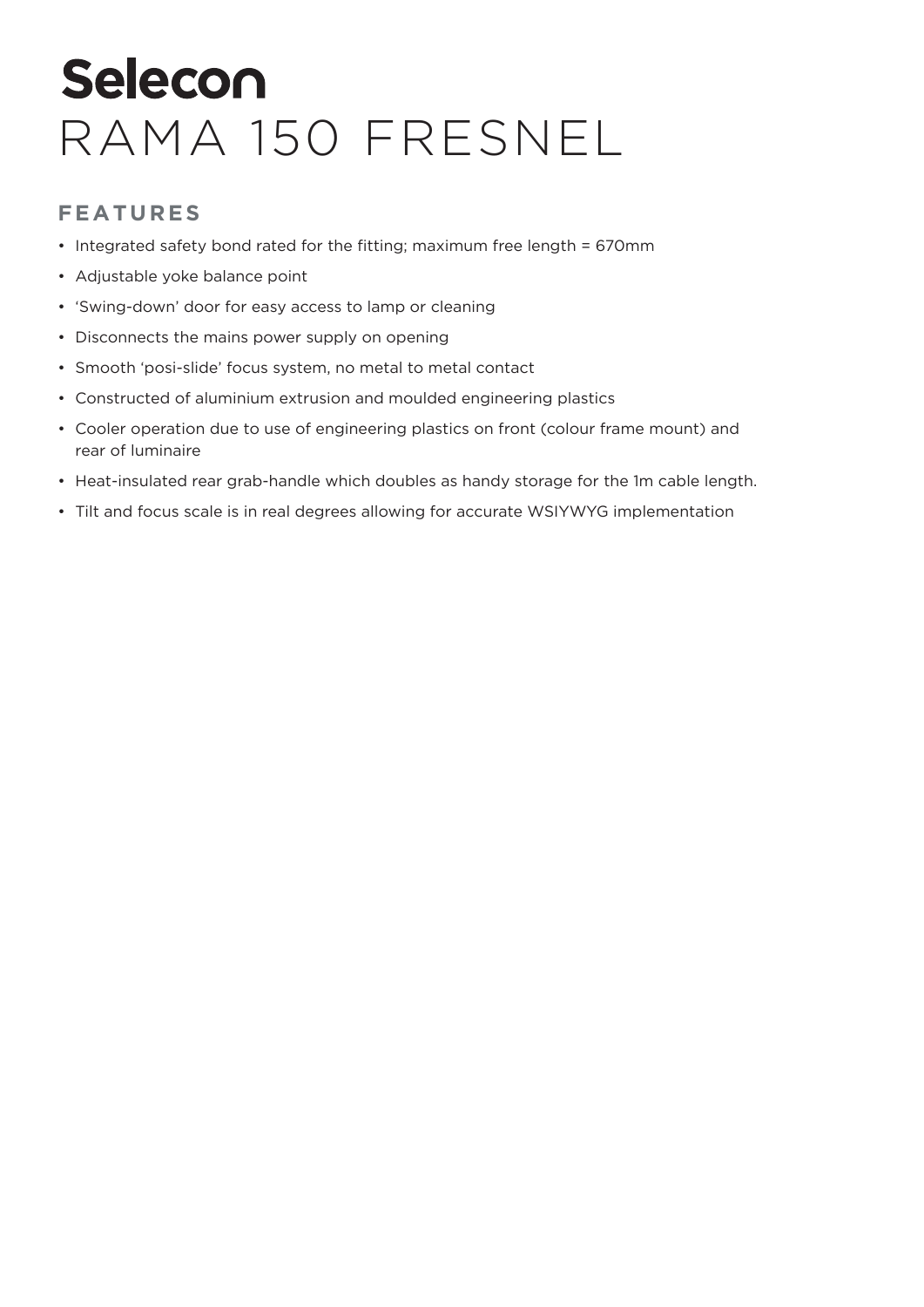#### **FEATURES**

- Integrated safety bond rated for the fitting; maximum free length = 670mm
- Adjustable yoke balance point
- 'Swing-down' door for easy access to lamp or cleaning
- Disconnects the mains power supply on opening
- Smooth 'posi-slide' focus system, no metal to metal contact
- Constructed of aluminium extrusion and moulded engineering plastics
- Cooler operation due to use of engineering plastics on front (colour frame mount) and rear of luminaire
- Heat-insulated rear grab-handle which doubles as handy storage for the 1m cable length.
- Tilt and focus scale is in real degrees allowing for accurate WSIYWYG implementation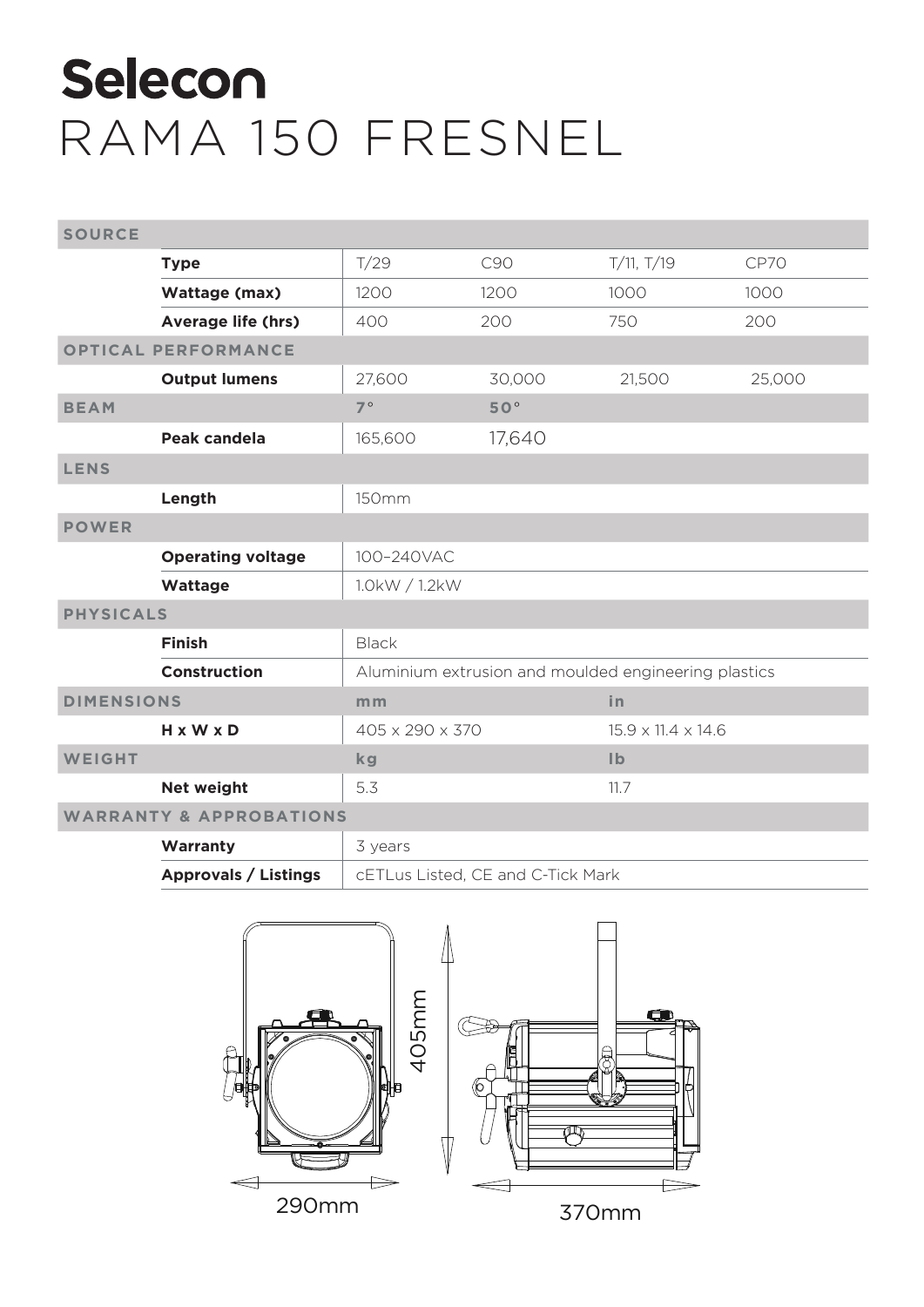| <b>SOURCE</b>                      |                             |                                                      |        |                                |        |  |
|------------------------------------|-----------------------------|------------------------------------------------------|--------|--------------------------------|--------|--|
|                                    | <b>Type</b>                 | T/29                                                 | C90    | T/11, T/19                     | CP70   |  |
|                                    | Wattage (max)               | 1200                                                 | 1200   | 1000                           | 1000   |  |
|                                    | <b>Average life (hrs)</b>   | 400                                                  | 200    | 750                            | 200    |  |
| <b>OPTICAL PERFORMANCE</b>         |                             |                                                      |        |                                |        |  |
|                                    | <b>Output lumens</b>        | 27,600                                               | 30,000 | 21,500                         | 25,000 |  |
| <b>BEAM</b>                        |                             | $7^{\circ}$                                          | 50°    |                                |        |  |
|                                    | Peak candela                | 165,600                                              | 17,640 |                                |        |  |
| <b>LENS</b>                        |                             |                                                      |        |                                |        |  |
|                                    | Length                      | <b>150mm</b>                                         |        |                                |        |  |
| <b>POWER</b>                       |                             |                                                      |        |                                |        |  |
|                                    | <b>Operating voltage</b>    | 100-240VAC                                           |        |                                |        |  |
|                                    | Wattage                     | 1.0kW / 1.2kW                                        |        |                                |        |  |
| <b>PHYSICALS</b>                   |                             |                                                      |        |                                |        |  |
|                                    | <b>Finish</b>               | <b>Black</b>                                         |        |                                |        |  |
|                                    | <b>Construction</b>         | Aluminium extrusion and moulded engineering plastics |        |                                |        |  |
| <b>DIMENSIONS</b>                  |                             | m <sub>m</sub>                                       |        | in                             |        |  |
|                                    | H x W x D                   | 405 x 290 x 370                                      |        | $15.9 \times 11.4 \times 14.6$ |        |  |
| WEIGHT                             |                             | kg                                                   |        | $\mathsf{I} \mathsf{b}$        |        |  |
|                                    | <b>Net weight</b>           | 5.3                                                  |        | 11.7                           |        |  |
| <b>WARRANTY &amp; APPROBATIONS</b> |                             |                                                      |        |                                |        |  |
|                                    | Warranty                    | 3 years                                              |        |                                |        |  |
|                                    | <b>Approvals / Listings</b> | cETLus Listed, CE and C-Tick Mark                    |        |                                |        |  |